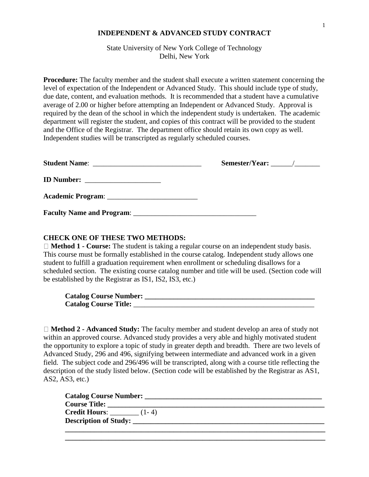## **INDEPENDENT & ADVANCED STUDY CONTRACT**

State University of New York College of Technology Delhi, New York

 average of 2.00 or higher before attempting an Independent or Advanced Study. Approval is **Procedure:** The faculty member and the student shall execute a written statement concerning the level of expectation of the Independent or Advanced Study. This should include type of study, due date, content, and evaluation methods. It is recommended that a student have a cumulative required by the dean of the school in which the independent study is undertaken. The academic department will register the student, and copies of this contract will be provided to the student and the Office of the Registrar. The department office should retain its own copy as well. Independent studies will be transcripted as regularly scheduled courses.

| Semester/Year: $\frac{\ }{\ }$ |
|--------------------------------|
|                                |
|                                |
|                                |

## **CHECK ONE OF THESE TWO METHODS:**

□ **Method 1 - Course:** The student is taking a regular course on an independent study basis. This course must be formally established in the course catalog. Independent study allows one student to fulfill a graduation requirement when enrollment or scheduling disallows for a scheduled section. The existing course catalog number and title will be used. (Section code will be established by the Registrar as IS1, IS2, IS3, etc.)

**Catalog Course Number: \_\_\_\_\_\_\_\_\_\_\_\_\_\_\_\_\_\_\_\_\_\_\_\_\_\_\_\_\_\_\_\_\_\_\_\_\_\_\_\_\_\_\_\_\_\_\_ Catalog Course Title:** \_\_\_\_\_\_\_\_\_\_\_\_\_\_\_\_\_\_\_\_\_\_\_\_\_\_\_\_\_\_\_\_\_\_\_\_\_\_\_\_\_\_\_\_\_\_\_\_\_\_

**Method 2 - Advanced Study:** The faculty member and student develop an area of study not within an approved course. Advanced study provides a very able and highly motivated student the opportunity to explore a topic of study in greater depth and breadth. There are two levels of Advanced Study, 296 and 496, signifying between intermediate and advanced work in a given field. The subject code and 296/496 will be transcripted, along with a course title reflecting the description of the study listed below. (Section code will be established by the Registrar as AS1, AS2, AS3, etc.)

| Catalog Course Number:       |                       |  |  |  |
|------------------------------|-----------------------|--|--|--|
| <b>Course Title:</b>         |                       |  |  |  |
| <b>Credit Hours:</b> $(1-4)$ |                       |  |  |  |
|                              | Description of Study: |  |  |  |
|                              |                       |  |  |  |

**\_\_\_\_\_\_\_\_\_\_\_\_\_\_\_\_\_\_\_\_\_\_\_\_\_\_\_\_\_\_\_\_\_\_\_\_\_\_\_\_\_\_\_\_\_\_\_\_\_\_\_\_\_\_\_\_\_\_\_\_\_\_\_\_\_\_\_\_\_\_\_\_**